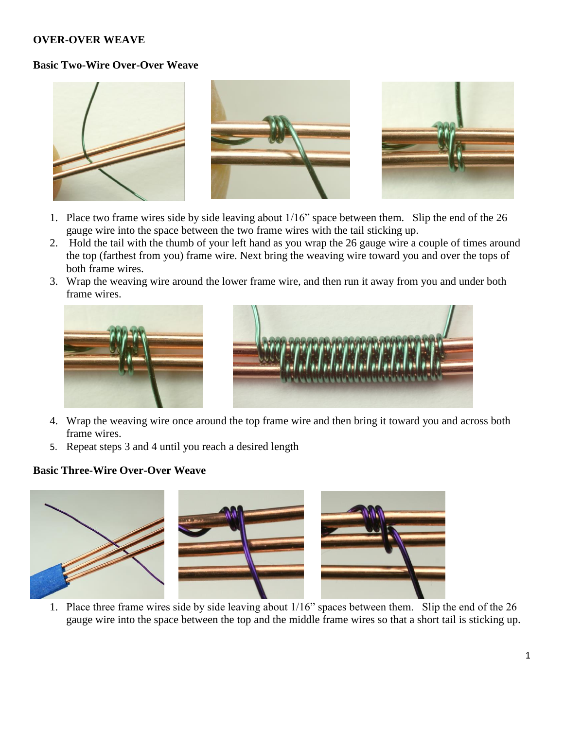### **OVER-OVER WEAVE**

#### **Basic Two-Wire Over-Over Weave**



- 1. Place two frame wires side by side leaving about 1/16" space between them. Slip the end of the 26 gauge wire into the space between the two frame wires with the tail sticking up.
- 2. Hold the tail with the thumb of your left hand as you wrap the 26 gauge wire a couple of times around the top (farthest from you) frame wire. Next bring the weaving wire toward you and over the tops of both frame wires.
- 3. Wrap the weaving wire around the lower frame wire, and then run it away from you and under both frame wires.





- 4. Wrap the weaving wire once around the top frame wire and then bring it toward you and across both frame wires.
- 5. Repeat steps 3 and 4 until you reach a desired length

#### **Basic Three-Wire Over-Over Weave**



1. Place three frame wires side by side leaving about 1/16" spaces between them. Slip the end of the 26 gauge wire into the space between the top and the middle frame wires so that a short tail is sticking up.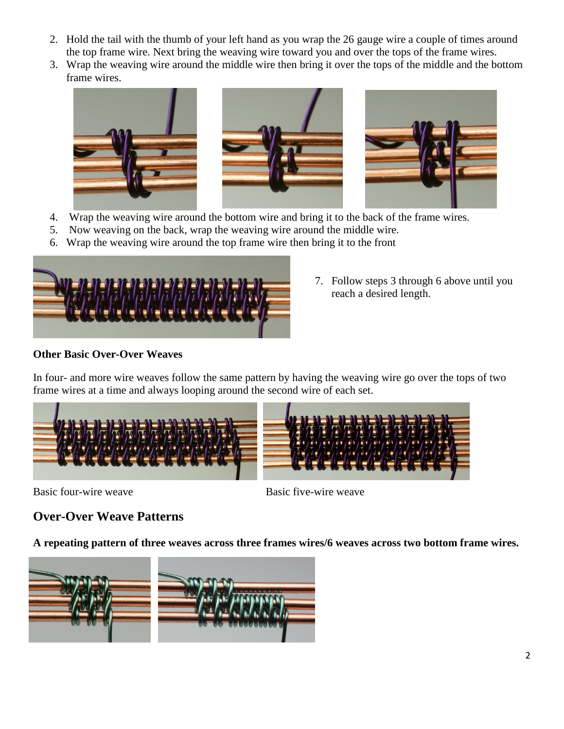- 2. Hold the tail with the thumb of your left hand as you wrap the 26 gauge wire a couple of times around the top frame wire. Next bring the weaving wire toward you and over the tops of the frame wires.
- 3. Wrap the weaving wire around the middle wire then bring it over the tops of the middle and the bottom frame wires.



- 4. Wrap the weaving wire around the bottom wire and bring it to the back of the frame wires.
- 5. Now weaving on the back, wrap the weaving wire around the middle wire.
- 6. Wrap the weaving wire around the top frame wire then bring it to the front



7. Follow steps 3 through 6 above until you reach a desired length.

## **Other Basic Over-Over Weaves**

In four- and more wire weaves follow the same pattern by having the weaving wire go over the tops of two frame wires at a time and always looping around the second wire of each set.



Basic four-wire weave Basic five-wire weave

# **Over-Over Weave Patterns**

**A repeating pattern of three weaves across three frames wires/6 weaves across two bottom frame wires.**